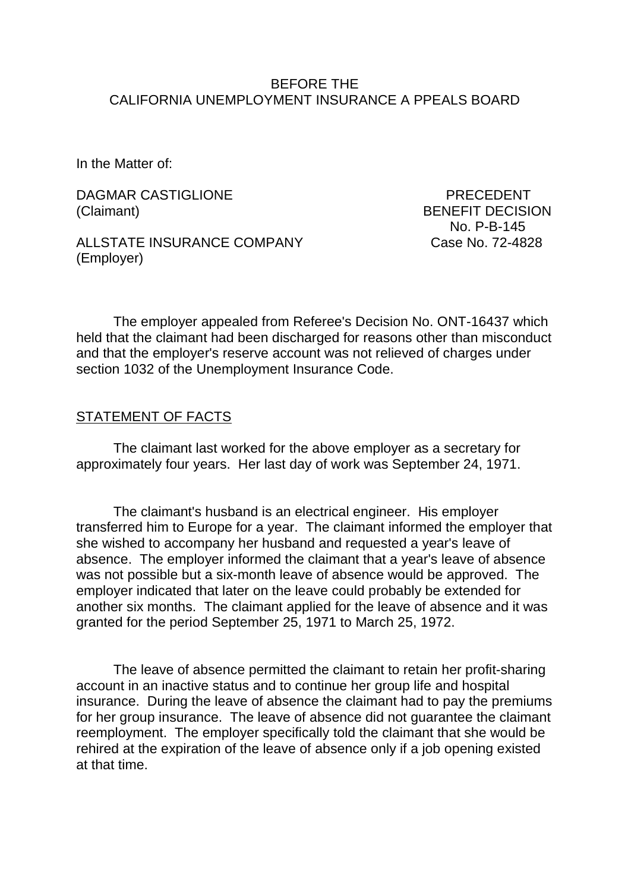### BEFORE THE CALIFORNIA UNEMPLOYMENT INSURANCE A PPEALS BOARD

In the Matter of:

DAGMAR CASTIGLIONE EXAMPLE THE PRECEDENT (Claimant) BENEFIT DECISION

No. P-B-145

ALLSTATE INSURANCE COMPANY Case No. 72-4828 (Employer)

The employer appealed from Referee's Decision No. ONT-16437 which held that the claimant had been discharged for reasons other than misconduct and that the employer's reserve account was not relieved of charges under section 1032 of the Unemployment Insurance Code.

### STATEMENT OF FACTS

The claimant last worked for the above employer as a secretary for approximately four years. Her last day of work was September 24, 1971.

The claimant's husband is an electrical engineer. His employer transferred him to Europe for a year. The claimant informed the employer that she wished to accompany her husband and requested a year's leave of absence. The employer informed the claimant that a year's leave of absence was not possible but a six-month leave of absence would be approved. The employer indicated that later on the leave could probably be extended for another six months. The claimant applied for the leave of absence and it was granted for the period September 25, 1971 to March 25, 1972.

The leave of absence permitted the claimant to retain her profit-sharing account in an inactive status and to continue her group life and hospital insurance. During the leave of absence the claimant had to pay the premiums for her group insurance. The leave of absence did not guarantee the claimant reemployment. The employer specifically told the claimant that she would be rehired at the expiration of the leave of absence only if a job opening existed at that time.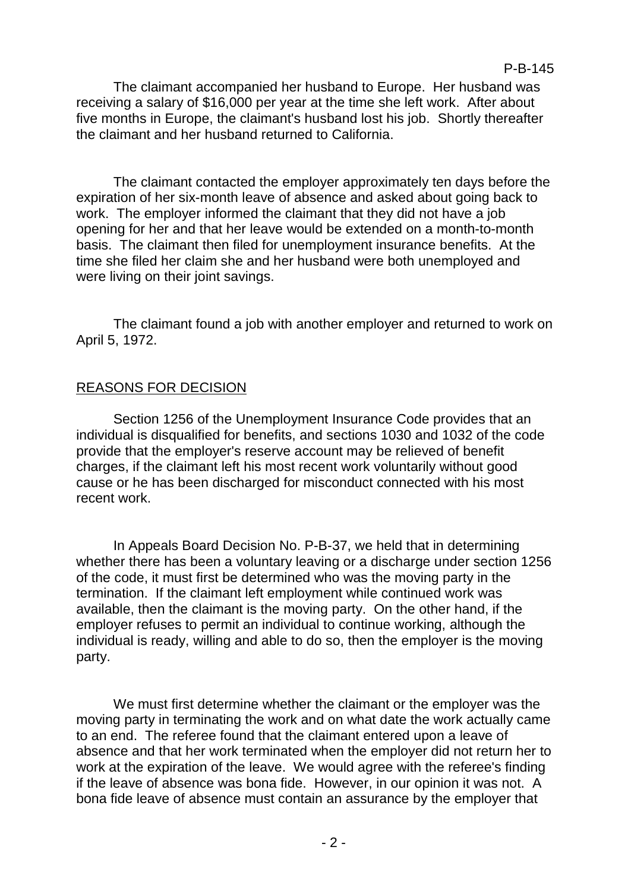The claimant accompanied her husband to Europe. Her husband was receiving a salary of \$16,000 per year at the time she left work. After about five months in Europe, the claimant's husband lost his job. Shortly thereafter the claimant and her husband returned to California.

The claimant contacted the employer approximately ten days before the expiration of her six-month leave of absence and asked about going back to work. The employer informed the claimant that they did not have a job opening for her and that her leave would be extended on a month-to-month basis. The claimant then filed for unemployment insurance benefits. At the time she filed her claim she and her husband were both unemployed and were living on their joint savings.

The claimant found a job with another employer and returned to work on April 5, 1972.

# REASONS FOR DECISION

Section 1256 of the Unemployment Insurance Code provides that an individual is disqualified for benefits, and sections 1030 and 1032 of the code provide that the employer's reserve account may be relieved of benefit charges, if the claimant left his most recent work voluntarily without good cause or he has been discharged for misconduct connected with his most recent work.

In Appeals Board Decision No. P-B-37, we held that in determining whether there has been a voluntary leaving or a discharge under section 1256 of the code, it must first be determined who was the moving party in the termination. If the claimant left employment while continued work was available, then the claimant is the moving party. On the other hand, if the employer refuses to permit an individual to continue working, although the individual is ready, willing and able to do so, then the employer is the moving party.

We must first determine whether the claimant or the employer was the moving party in terminating the work and on what date the work actually came to an end. The referee found that the claimant entered upon a leave of absence and that her work terminated when the employer did not return her to work at the expiration of the leave. We would agree with the referee's finding if the leave of absence was bona fide. However, in our opinion it was not. A bona fide leave of absence must contain an assurance by the employer that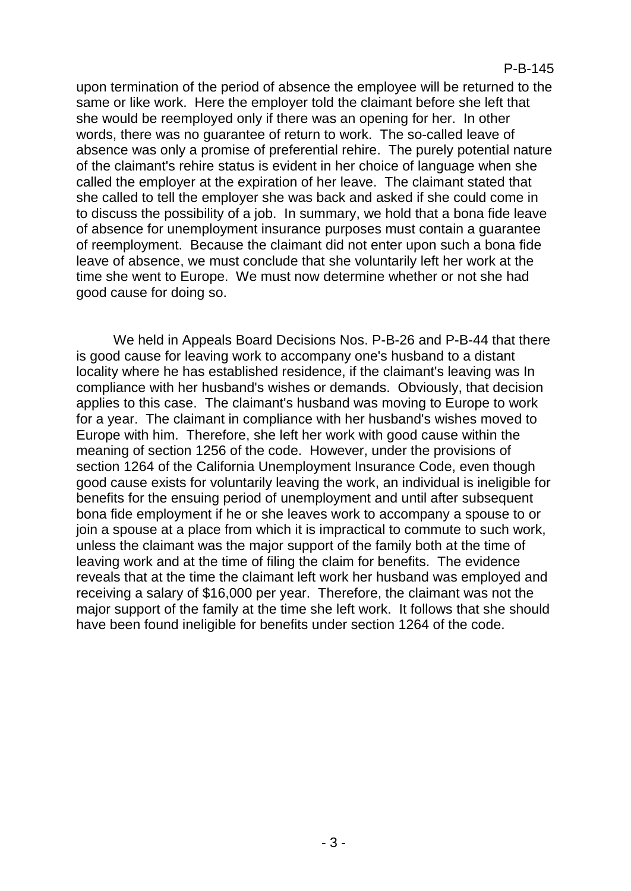upon termination of the period of absence the employee will be returned to the same or like work. Here the employer told the claimant before she left that she would be reemployed only if there was an opening for her. In other words, there was no guarantee of return to work. The so-called leave of absence was only a promise of preferential rehire. The purely potential nature of the claimant's rehire status is evident in her choice of language when she called the employer at the expiration of her leave. The claimant stated that she called to tell the employer she was back and asked if she could come in to discuss the possibility of a job. In summary, we hold that a bona fide leave of absence for unemployment insurance purposes must contain a guarantee of reemployment. Because the claimant did not enter upon such a bona fide leave of absence, we must conclude that she voluntarily left her work at the time she went to Europe. We must now determine whether or not she had good cause for doing so.

We held in Appeals Board Decisions Nos. P-B-26 and P-B-44 that there is good cause for leaving work to accompany one's husband to a distant locality where he has established residence, if the claimant's leaving was In compliance with her husband's wishes or demands. Obviously, that decision applies to this case. The claimant's husband was moving to Europe to work for a year. The claimant in compliance with her husband's wishes moved to Europe with him. Therefore, she left her work with good cause within the meaning of section 1256 of the code. However, under the provisions of section 1264 of the California Unemployment Insurance Code, even though good cause exists for voluntarily leaving the work, an individual is ineligible for benefits for the ensuing period of unemployment and until after subsequent bona fide employment if he or she leaves work to accompany a spouse to or join a spouse at a place from which it is impractical to commute to such work, unless the claimant was the major support of the family both at the time of leaving work and at the time of filing the claim for benefits. The evidence reveals that at the time the claimant left work her husband was employed and receiving a salary of \$16,000 per year. Therefore, the claimant was not the major support of the family at the time she left work. It follows that she should have been found ineligible for benefits under section 1264 of the code.